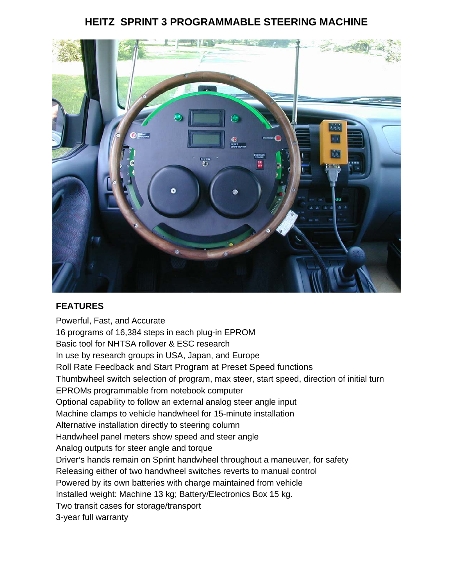# **HEITZ SPRINT 3 PROGRAMMABLE STEERING MACHINE**



# **FEATURES**

Powerful, Fast, and Accurate 16 programs of 16,384 steps in each plug-in EPROM Basic tool for NHTSA rollover & ESC research In use by research groups in USA, Japan, and Europe Roll Rate Feedback and Start Program at Preset Speed functions Thumbwheel switch selection of program, max steer, start speed, direction of initial turn EPROMs programmable from notebook computer Optional capability to follow an external analog steer angle input Machine clamps to vehicle handwheel for 15-minute installation Alternative installation directly to steering column Handwheel panel meters show speed and steer angle Analog outputs for steer angle and torque Driver's hands remain on Sprint handwheel throughout a maneuver, for safety Releasing either of two handwheel switches reverts to manual control Powered by its own batteries with charge maintained from vehicle Installed weight: Machine 13 kg; Battery/Electronics Box 15 kg. Two transit cases for storage/transport 3-year full warranty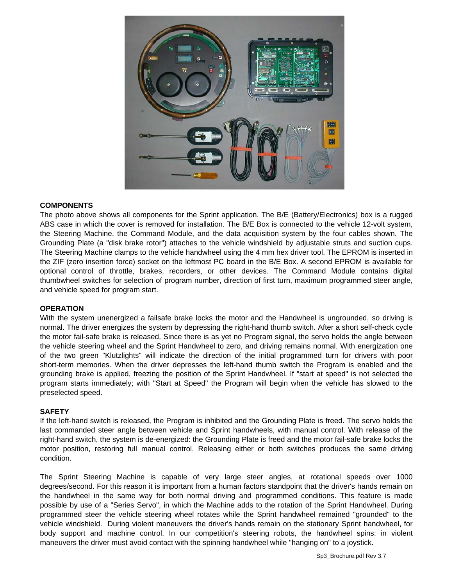

#### **COMPONENTS**

The photo above shows all components for the Sprint application. The B/E (Battery/Electronics) box is a rugged ABS case in which the cover is removed for installation. The B/E Box is connected to the vehicle 12-volt system, the Steering Machine, the Command Module, and the data acquisition system by the four cables shown. The Grounding Plate (a "disk brake rotor") attaches to the vehicle windshield by adjustable struts and suction cups. The Steering Machine clamps to the vehicle handwheel using the 4 mm hex driver tool. The EPROM is inserted in the ZIF (zero insertion force) socket on the leftmost PC board in the B/E Box. A second EPROM is available for optional control of throttle, brakes, recorders, or other devices. The Command Module contains digital thumbwheel switches for selection of program number, direction of first turn, maximum programmed steer angle, and vehicle speed for program start.

#### **OPERATION**

With the system unenergized a failsafe brake locks the motor and the Handwheel is ungrounded, so driving is normal. The driver energizes the system by depressing the right-hand thumb switch. After a short self-check cycle the motor fail-safe brake is released. Since there is as yet no Program signal, the servo holds the angle between the vehicle steering wheel and the Sprint Handwheel to zero, and driving remains normal. With energization one of the two green "Klutzlights" will indicate the direction of the initial programmed turn for drivers with poor short-term memories. When the driver depresses the left-hand thumb switch the Program is enabled and the grounding brake is applied, freezing the position of the Sprint Handwheel. If "start at speed" is not selected the program starts immediately; with "Start at Speed" the Program will begin when the vehicle has slowed to the preselected speed.

#### **SAFETY**

If the left-hand switch is released, the Program is inhibited and the Grounding Plate is freed. The servo holds the last commanded steer angle between vehicle and Sprint handwheels, with manual control. With release of the right-hand switch, the system is de-energized: the Grounding Plate is freed and the motor fail-safe brake locks the motor position, restoring full manual control. Releasing either or both switches produces the same driving condition.

The Sprint Steering Machine is capable of very large steer angles, at rotational speeds over 1000 degrees/second. For this reason it is important from a human factors standpoint that the driver's hands remain on the handwheel in the same way for both normal driving and programmed conditions. This feature is made possible by use of a "Series Servo", in which the Machine adds to the rotation of the Sprint Handwheel. During programmed steer the vehicle steering wheel rotates while the Sprint handwheel remained "grounded" to the vehicle windshield. During violent maneuvers the driver's hands remain on the stationary Sprint handwheel, for body support and machine control. In our competition's steering robots, the handwheel spins: in violent maneuvers the driver must avoid contact with the spinning handwheel while "hanging on" to a joystick.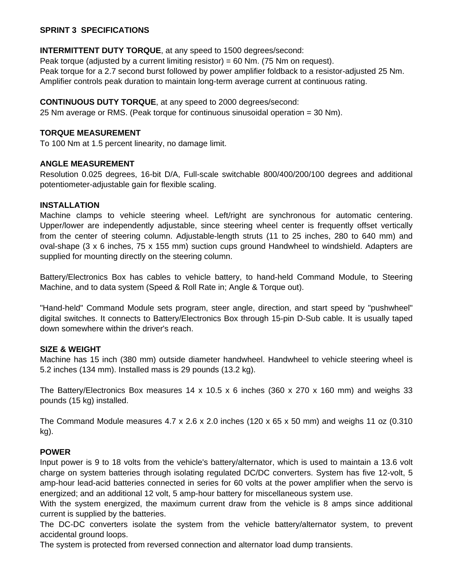### **SPRINT 3 SPECIFICATIONS**

# **INTERMITTENT DUTY TORQUE**, at any speed to 1500 degrees/second:

Peak torque (adjusted by a current limiting resistor) = 60 Nm. (75 Nm on request). Peak torque for a 2.7 second burst followed by power amplifier foldback to a resistor-adjusted 25 Nm. Amplifier controls peak duration to maintain long-term average current at continuous rating.

# **CONTINUOUS DUTY TORQUE**, at any speed to 2000 degrees/second:

25 Nm average or RMS. (Peak torque for continuous sinusoidal operation = 30 Nm).

#### **TORQUE MEASUREMENT**

To 100 Nm at 1.5 percent linearity, no damage limit.

### **ANGLE MEASUREMENT**

Resolution 0.025 degrees, 16-bit D/A, Full-scale switchable 800/400/200/100 degrees and additional potentiometer-adjustable gain for flexible scaling.

#### **INSTALLATION**

Machine clamps to vehicle steering wheel. Left/right are synchronous for automatic centering. Upper/lower are independently adjustable, since steering wheel center is frequently offset vertically from the center of steering column. Adjustable-length struts (11 to 25 inches, 280 to 640 mm) and oval-shape (3 x 6 inches, 75 x 155 mm) suction cups ground Handwheel to windshield. Adapters are supplied for mounting directly on the steering column.

Battery/Electronics Box has cables to vehicle battery, to hand-held Command Module, to Steering Machine, and to data system (Speed & Roll Rate in; Angle & Torque out).

"Hand-held" Command Module sets program, steer angle, direction, and start speed by "pushwheel" digital switches. It connects to Battery/Electronics Box through 15-pin D-Sub cable. It is usually taped down somewhere within the driver's reach.

#### **SIZE & WEIGHT**

Machine has 15 inch (380 mm) outside diameter handwheel. Handwheel to vehicle steering wheel is 5.2 inches (134 mm). Installed mass is 29 pounds (13.2 kg).

The Battery/Electronics Box measures 14 x 10.5 x 6 inches (360 x 270 x 160 mm) and weighs 33 pounds (15 kg) installed.

The Command Module measures  $4.7 \times 2.6 \times 2.0$  inches (120 x 65 x 50 mm) and weighs 11 oz (0.310 kg).

#### **POWER**

Input power is 9 to 18 volts from the vehicle's battery/alternator, which is used to maintain a 13.6 volt charge on system batteries through isolating regulated DC/DC converters. System has five 12-volt, 5 amp-hour lead-acid batteries connected in series for 60 volts at the power amplifier when the servo is energized; and an additional 12 volt, 5 amp-hour battery for miscellaneous system use.

With the system energized, the maximum current draw from the vehicle is 8 amps since additional current is supplied by the batteries.

The DC-DC converters isolate the system from the vehicle battery/alternator system, to prevent accidental ground loops.

The system is protected from reversed connection and alternator load dump transients.